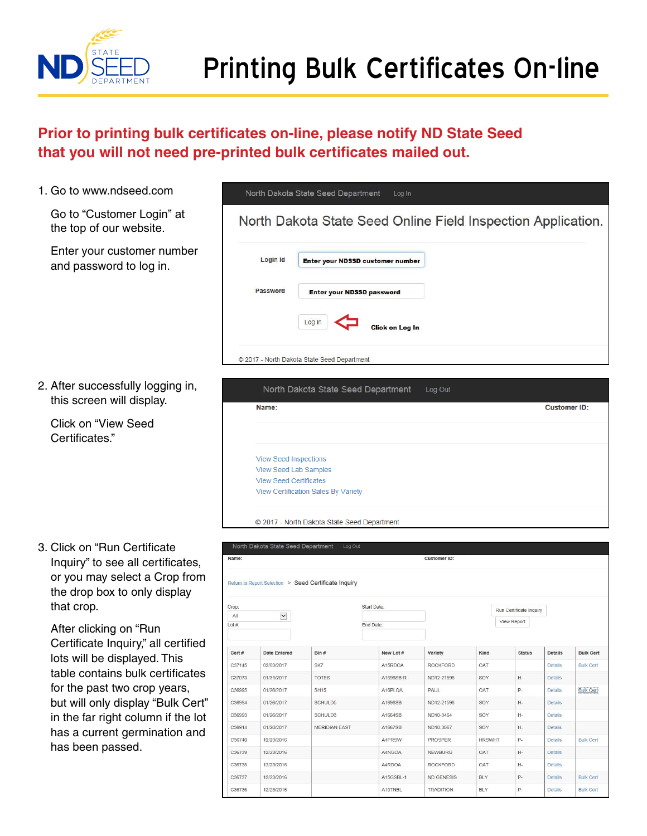

 $\mathcal{P}_\text{max}$  at the please notificates on  $\mathcal{P}_\text{max}$  ND State Seed that you will not need pre-printed bulk certificates on  $\mathcal{P}_\text{max}$ 

## **Prior to printing bulk certificates on-line, please notify ND State Seed**  that you will not need pre-printed bulk certificates mailed out.

- 1. Go to www.ndseed.com
	- Go to "Customer Login" at the top of our website.
	- Enter your customer number and password to log in.

2. After successfully logging in, this screen will display.

Click on "View Seed Certificates."

3. Click on "Run Certificate Inquiry" to see all certificates, or you may select a Crop from the drop box to only display that crop.

| Login Id | Enter your NDSSD customer number |  |
|----------|----------------------------------|--|
| Password | <b>Enter your NDSSD password</b> |  |
|          | Log in<br><b>Click on Log In</b> |  |

| lay. | North Dakota State Seed Department<br>Log Out |                     |
|------|-----------------------------------------------|---------------------|
|      | Name:                                         | <b>Customer ID:</b> |
|      |                                               |                     |
|      |                                               |                     |
|      | <b>View Seed Inspections</b>                  |                     |
|      | <b>View Seed Lab Samples</b>                  |                     |
|      | <b>View Seed Certificates</b>                 |                     |
|      | View Certification Sales By Variety           |                     |
|      |                                               |                     |

| Click on "Run Certificate                                     |                                                                                       | North Dakota State Seed Department | Log Out              |                  |                   |               |                         |                |                  |  |  |  |
|---------------------------------------------------------------|---------------------------------------------------------------------------------------|------------------------------------|----------------------|------------------|-------------------|---------------|-------------------------|----------------|------------------|--|--|--|
| Inquiry" to see all certificates,                             | Name:<br><b>Customer ID:</b><br>Return to Report Selection > Seed Certificate Inquiry |                                    |                      |                  |                   |               |                         |                |                  |  |  |  |
| or you may select a Crop from<br>the drop box to only display |                                                                                       |                                    |                      |                  |                   |               |                         |                |                  |  |  |  |
| that crop.                                                    | Crop:                                                                                 |                                    |                      | Start Date:      |                   |               | Run Certificate Inquiry |                |                  |  |  |  |
|                                                               | All                                                                                   | $\blacktriangledown$               |                      |                  |                   |               | View Report             |                |                  |  |  |  |
| After clicking on "Run                                        | $Lot#$ :                                                                              |                                    |                      | <b>End Date:</b> |                   |               |                         |                |                  |  |  |  |
| Certificate Inquiry," all certified                           |                                                                                       |                                    |                      |                  |                   |               |                         |                |                  |  |  |  |
| lots will be displayed. This                                  | Cert #                                                                                | <b>Date Entered</b>                | Bin #                | New Lot #        | Variety           | Kind          | <b>Status</b>           | <b>Details</b> | <b>Bulk Cert</b> |  |  |  |
|                                                               | C37145                                                                                | 02/03/2017                         | SK7                  | A15RDOA          | <b>ROCKFORD</b>   | OAT           |                         | <b>Details</b> | <b>Bulk Cert</b> |  |  |  |
| table contains bulk certificates                              | C37073                                                                                | 01/31/2017                         | <b>TOTES</b>         | A1698SB-R        | ND12-21598        | SOY           | $H-$                    | <b>Details</b> |                  |  |  |  |
| for the past two crop years,                                  | C36995                                                                                | 01/26/2017                         | <b>SH15</b>          | A16PLOA          | PAUL              | OAT           | P.                      | <b>Details</b> | <b>Bulk Cert</b> |  |  |  |
| but will only display "Bulk Cert"                             | C36994                                                                                | 01/26/2017                         | SCHULD5              | A1698SB          | ND12-21598        | SOY           | $H-$                    | <b>Details</b> |                  |  |  |  |
| in the far right column if the lot                            | C36993                                                                                | 01/26/2017                         | SCHULD3              | A1664SB          | ND10-3464         | SOY           | $H -$                   | <b>Details</b> |                  |  |  |  |
| has a current germination and                                 | C36914                                                                                | 01/20/2017                         | <b>MERIDIAN EAST</b> | A1667SB          | ND10-3067         | SOY           | $H -$                   | <b>Details</b> |                  |  |  |  |
|                                                               | C36740                                                                                | 12/23/2016                         |                      | A4PRSW           | <b>PROSPER</b>    | <b>HRSWHT</b> | $P -$                   | <b>Details</b> | <b>Bulk Cert</b> |  |  |  |
| has been passed.                                              | C36739                                                                                | 12/23/2016                         |                      | A4NGOA           | <b>NEWBURG</b>    | OAT           | $H-$                    | <b>Details</b> |                  |  |  |  |
|                                                               | C36738                                                                                | 12/23/2016                         |                      | A4RDOA           | <b>ROCKFORD</b>   | OAT           | $H -$                   | <b>Details</b> |                  |  |  |  |
|                                                               | C36737                                                                                | 12/23/2016                         |                      | A15GSBL-1        | <b>ND GENESIS</b> | <b>BLY</b>    | P.                      | <b>Details</b> | <b>Bulk Cert</b> |  |  |  |
|                                                               | C36736                                                                                | 12/23/2016                         |                      | A15TNBL          | <b>TRADITION</b>  | <b>BLY</b>    | P-                      | <b>Details</b> | <b>Bulk Cert</b> |  |  |  |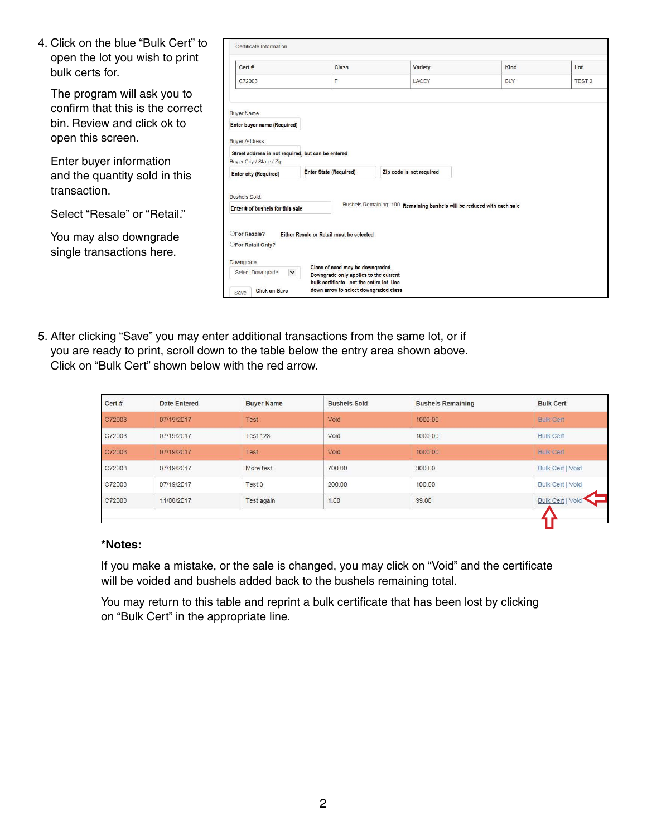| 4. Click on the blue "Bulk Cert" to                 | Certificate Information                                                                     |                        |                                                                                     |                                                                         |  |            |               |  |  |  |
|-----------------------------------------------------|---------------------------------------------------------------------------------------------|------------------------|-------------------------------------------------------------------------------------|-------------------------------------------------------------------------|--|------------|---------------|--|--|--|
| open the lot you wish to print<br>bulk certs for.   | Cert #                                                                                      |                        | Class                                                                               | Variety                                                                 |  | Kind       | Lot           |  |  |  |
|                                                     | C72003                                                                                      |                        | F.                                                                                  | LACEY                                                                   |  | <b>BLY</b> | <b>TEST 2</b> |  |  |  |
| The program will ask you to                         |                                                                                             |                        |                                                                                     |                                                                         |  |            |               |  |  |  |
| confirm that this is the correct                    | <b>Buyer Name</b>                                                                           |                        |                                                                                     |                                                                         |  |            |               |  |  |  |
| bin. Review and click ok to                         | Enter buyer name (Required)                                                                 |                        |                                                                                     |                                                                         |  |            |               |  |  |  |
| open this screen.                                   | <b>Buver Address:</b>                                                                       |                        |                                                                                     |                                                                         |  |            |               |  |  |  |
|                                                     | Street address is not required, but can be entered                                          |                        |                                                                                     |                                                                         |  |            |               |  |  |  |
| Enter buyer information                             | Buyer City / State / Zip                                                                    |                        |                                                                                     |                                                                         |  |            |               |  |  |  |
| and the quantity sold in this                       | <b>Enter city (Required)</b>                                                                | Enter State (Required) |                                                                                     | Zip code is not required                                                |  |            |               |  |  |  |
| transaction.                                        | <b>Bushels Sold:</b>                                                                        |                        |                                                                                     |                                                                         |  |            |               |  |  |  |
| Select "Resale" or "Retail."                        | Enter # of bushels for this sale                                                            |                        |                                                                                     | Bushels Remaining: 100 Remaining bushels will be reduced with each sale |  |            |               |  |  |  |
| You may also downgrade<br>single transactions here. | <b>OFor Resale?</b><br>Either Resale or Retail must be selected<br><b>OFor Retail Only?</b> |                        |                                                                                     |                                                                         |  |            |               |  |  |  |
|                                                     | Downgrade<br>$\checkmark$<br>Select Downgrade                                               |                        | Class of seed may be downgraded.<br>Downgrade only applies to the current           |                                                                         |  |            |               |  |  |  |
|                                                     | <b>Click on Save</b><br>Save                                                                |                        | bulk certificate - not the entire lot. Use<br>down arrow to select downgraded class |                                                                         |  |            |               |  |  |  |

5. After clicking "Save" you may enter additional transactions from the same lot, or if you are ready to print, scroll down to the table below the entry area shown above. Click on "Bulk Cert" shown below with the red arrow.

| Cert # | <b>Date Entered</b> | <b>Buyer Name</b> | <b>Bushels Sold</b>            | <b>Bushels Remaining</b> | <b>Bulk Cert</b>        |
|--------|---------------------|-------------------|--------------------------------|--------------------------|-------------------------|
| C72003 | 07/19/2017          | Test              | Void                           | 1000.00                  | <b>Bulk Cert</b>        |
| C72003 | 07/19/2017          | <b>Test 123</b>   | Void                           | 1000.00                  | <b>Bulk Cert</b>        |
| C72003 | 07/19/2017          | Test              | Void                           | 1000.00                  | <b>Bulk Cert</b>        |
| C72003 | 07/19/2017          | More test         | 700.00                         | 300.00                   | <b>Bulk Cert   Void</b> |
| C72003 | 07/19/2017          | Test 3            | 200.00<br><b>MEDICAL MODEL</b> | 100.00                   | <b>Bulk Cert   Void</b> |
| C72003 | 11/08/2017          | Test again        | <b>PERSONAL</b><br>1.00        | 99.00                    | Bulk Cert   Void        |

## \*Notes: **\*Notes:**   $\mathbf{E}$  , or the sale is changed, you may consider  $\mathbf{V}$  (shown by the black arrow) and the certificate will be certificate will be certificate will be certificate will be certificate will be certificate will be certa

If you make a mistake, or the sale is changed, you may click on "Void" and the certificate will be voided and bushels added back to the bushels remaining total.

You may return to this table and reprint a bulk certificate that has been lost by clicking on "Bulk Cert" in the appropriate line.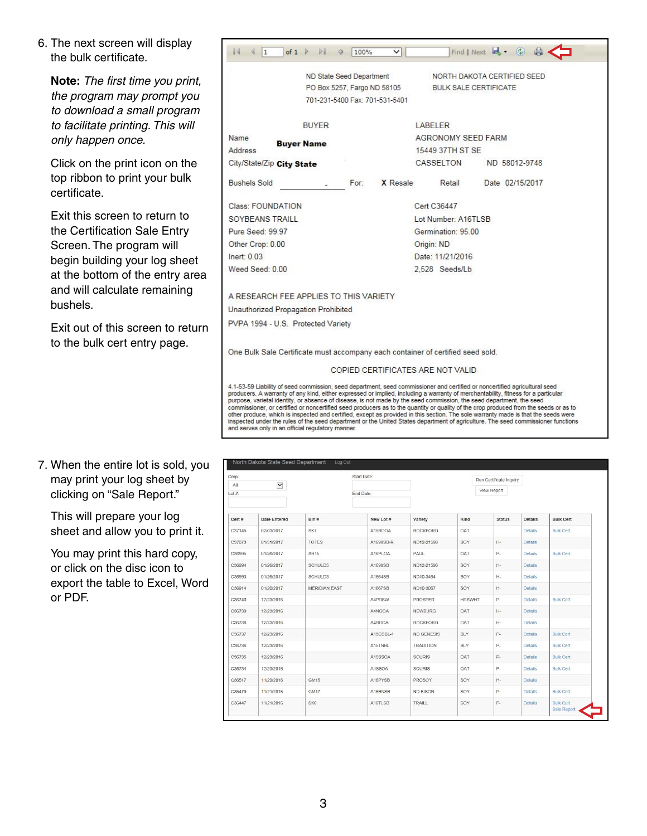6. The next screen will display the bulk certificate.

**Note:** *The first time you print, the program may prompt you to download a small program to facilitate printing. This will only happen once.* 

Click on the print icon on the top ribbon to print your bulk certificate.

Exit this screen to return to the Certification Sale Entry Screen. The program will begin building your log sheet at the bottom of the entry area and will calculate remaining bushels.

Exit out of this screen to return to the bulk cert entry page.

7. When the entire lot is sold, you may print your log sheet by clicking on "Sale Report."

This will prepare your log sheet and allow you to print it.

You may print this hard copy, or click on the disc icon to export the table to Excel, Word or PDF.

| $\mathbb{N}$<br>$\mathbf{1}$                                                                                                                                                                                                                                                                                                                                                            | of $1 \nightharpoonup$ | $\mathbb{N}$ | 100%                           | $\checkmark$ |             |                                    | Find   Next $\overline{B}$ $\cdot$ (2) |                 |  |  |  |
|-----------------------------------------------------------------------------------------------------------------------------------------------------------------------------------------------------------------------------------------------------------------------------------------------------------------------------------------------------------------------------------------|------------------------|--------------|--------------------------------|--------------|-------------|------------------------------------|----------------------------------------|-----------------|--|--|--|
|                                                                                                                                                                                                                                                                                                                                                                                         |                        |              | ND State Seed Department       |              |             | NORTH DAKOTA CERTIFIED SEED.       |                                        |                 |  |  |  |
|                                                                                                                                                                                                                                                                                                                                                                                         |                        |              | PO Box 5257, Fargo ND 58105    |              |             | <b>BULK SALE CERTIFICATE</b>       |                                        |                 |  |  |  |
|                                                                                                                                                                                                                                                                                                                                                                                         |                        |              | 701-231-5400 Fax: 701-531-5401 |              |             |                                    |                                        |                 |  |  |  |
|                                                                                                                                                                                                                                                                                                                                                                                         |                        | <b>BUYER</b> |                                |              | LABELER     |                                    |                                        |                 |  |  |  |
| <b>Name</b>                                                                                                                                                                                                                                                                                                                                                                             |                        |              |                                |              |             | AGRONOMY SEED FARM                 |                                        |                 |  |  |  |
| Address                                                                                                                                                                                                                                                                                                                                                                                 | <b>Buyer Name</b>      |              |                                |              |             | 15449 37TH ST SE                   |                                        |                 |  |  |  |
| City/State/Zip City State                                                                                                                                                                                                                                                                                                                                                               |                        |              |                                |              |             | CASSELTON                          |                                        | ND 58012-9748   |  |  |  |
| <b>Bushels Sold</b>                                                                                                                                                                                                                                                                                                                                                                     |                        |              | For                            | X Resale     |             | Retail                             |                                        | Date 02/15/2017 |  |  |  |
| Class: FOUNDATION                                                                                                                                                                                                                                                                                                                                                                       |                        |              |                                |              | Cert C36447 |                                    |                                        |                 |  |  |  |
| SOYBEANS TRAILL                                                                                                                                                                                                                                                                                                                                                                         |                        |              |                                |              |             | Lot Number: A16TLSB                |                                        |                 |  |  |  |
| Pure Seed: 99.97                                                                                                                                                                                                                                                                                                                                                                        |                        |              |                                |              |             | Germination: 95.00                 |                                        |                 |  |  |  |
| Other Crop: 0.00                                                                                                                                                                                                                                                                                                                                                                        |                        |              |                                |              | Origin: ND  |                                    |                                        |                 |  |  |  |
| Inert: 0.03                                                                                                                                                                                                                                                                                                                                                                             |                        |              |                                |              |             | Date: 11/21/2016                   |                                        |                 |  |  |  |
| Weed Seed: 0.00                                                                                                                                                                                                                                                                                                                                                                         |                        |              |                                |              |             | 2.528 Seeds/Lb                     |                                        |                 |  |  |  |
| A RESEARCH FEE APPLIES TO THIS VARIETY                                                                                                                                                                                                                                                                                                                                                  |                        |              |                                |              |             |                                    |                                        |                 |  |  |  |
| Unauthorized Propagation Prohibited                                                                                                                                                                                                                                                                                                                                                     |                        |              |                                |              |             |                                    |                                        |                 |  |  |  |
| PVPA 1994 - U.S. Protected Variety                                                                                                                                                                                                                                                                                                                                                      |                        |              |                                |              |             |                                    |                                        |                 |  |  |  |
| One Bulk Sale Certificate must accompany each container of certified seed sold.                                                                                                                                                                                                                                                                                                         |                        |              |                                |              |             |                                    |                                        |                 |  |  |  |
|                                                                                                                                                                                                                                                                                                                                                                                         |                        |              |                                |              |             | COPIED CERTIFICATES ARE NOT VALID. |                                        |                 |  |  |  |
| 4.1-53-59 Liability of seed commission, seed department, seed commissioner and certified or noncertified agricultural seed<br>producers. A warranty of any kind, either expressed or implied, including a warranty of merchantability, fitness for a particular<br>purpose, varietal identity, or absence of disease, is not made by the seed commission, the seed department, the seed |                        |              |                                |              |             |                                    |                                        |                 |  |  |  |

commissioner, or certified or noncertified seed producers as to the quantity or quality of the crop produced from the seeds or as to other produce, which is inspected and certified, except as provided in this section. The sole warranty made is that the seeds were inspected under the rules of the seed department or the United States department of agricul and serves only in an official regulatory manner.

| Crop:  |                     |                      | Start Date: |                   |               | Run Certificate Inquiry |                |                                 |
|--------|---------------------|----------------------|-------------|-------------------|---------------|-------------------------|----------------|---------------------------------|
| All    | $\checkmark$        |                      |             |                   |               | View Report             |                |                                 |
| Lot#   |                     |                      | End Date:   |                   |               |                         |                |                                 |
|        |                     |                      |             |                   |               |                         |                |                                 |
| Cert # | <b>Date Entered</b> | Bin #                | New Lot #   | Variety           | Kind          | <b>Status</b>           | <b>Details</b> | <b>Bulk Cert</b>                |
| C37145 | 02/03/2017          | SK7                  | A15RDOA     | <b>ROCKFORD</b>   | <b>OAT</b>    |                         | <b>Details</b> | <b>Bulk Cert</b>                |
| C37073 | 01/31/2017          | <b>TOTES</b>         | A1698SB-R   | ND12-21598        | SOY           | $H -$                   | <b>Details</b> |                                 |
| C36995 | 01/26/2017          | SH15                 | A16PLOA     | PAUL              | OAT           | $P-$                    | Details        | <b>Bulk Cert</b>                |
| C36994 | 01/26/2017          | SCHULD5              | A1698SB     | ND12-21598        | SOY           | $H-$                    | <b>Details</b> |                                 |
| C36993 | 01/26/2017          | SCHULD3              | A1664SB     | ND10-3464         | SOY           | $H -$                   | <b>Details</b> |                                 |
| C36914 | 01/20/2017          | <b>MERIDIAN EAST</b> | A1667SB     | ND10-3067         | SOY           | H-                      | <b>Details</b> |                                 |
| C36740 | 12/23/2016          |                      | A4PRSW      | <b>PROSPER</b>    | <b>HRSWHT</b> | $P-$                    | <b>Details</b> | <b>Bulk Cert</b>                |
| C36739 | 12/23/2016          |                      | A4NGOA      | <b>NEWBURG</b>    | OAT           | $H-$                    | Details        |                                 |
| C36738 | 12/23/2016          |                      | A4RDOA      | <b>ROCKFORD</b>   | OAT           | $H-$                    | <b>Details</b> |                                 |
| C36737 | 12/23/2016          |                      | A15GSBL-1   | <b>ND GENESIS</b> | <b>BLY</b>    | $P-$                    | <b>Details</b> | <b>Bulk Cert</b>                |
| C36736 | 12/23/2016          |                      | A15TNBL     | <b>TRADITION</b>  | <b>BLY</b>    | $P-$                    | <b>Details</b> | <b>Bulk Cert</b>                |
| C36735 | 12/23/2016          |                      | A15SSOA     | <b>SOURIS</b>     | OAT           | P-                      | <b>Details</b> | <b>Bulk Cert</b>                |
| C36734 | 12/23/2016          |                      | A4SSOA      | SOURIS            | OAT           | P-                      | <b>Details</b> | <b>Bulk Cert</b>                |
| C36517 | 11/29/2016          | <b>GM15</b>          | A16PYSB     | PROSOY            | SOY           | $H-$                    | <b>Details</b> |                                 |
| C36479 | 11/21/2016          | <b>GM17</b>          | A16BNSB     | <b>ND BISON</b>   | SOY           | P-                      | <b>Details</b> | <b>Bulk Cert</b>                |
| C36447 | 11/21/2016          | SK6                  | A16TLSB     | TRAILL            | SOY           | P-                      | <b>Details</b> | <b>Bulk Cert</b><br>Sale Report |